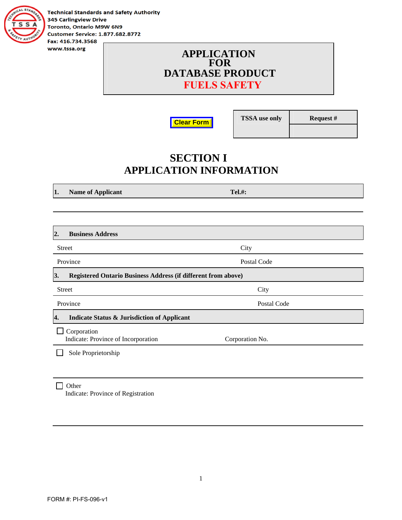

**Technical Standards and Safety Authority 345 Carlingview Drive** Toronto, Ontario M9W 6N9 **Customer Service: 1.877.682.8772** Fax: 416.734.3568

> **APPLICATION FOR DATABASE PRODUCT FUELS SAFETY**

> > **Clear Form**

**TSSA use only Request #** 

# **SECTION I APPLICATION INFORMATION**

**1.** Name of Applicant Tel.#:

| <b>Business Address</b><br>2.                                       |                 |  |
|---------------------------------------------------------------------|-----------------|--|
| <b>Street</b>                                                       | City            |  |
| Province                                                            | Postal Code     |  |
| 3.<br>Registered Ontario Business Address (if different from above) |                 |  |
| <b>Street</b>                                                       | City            |  |
| Province                                                            | Postal Code     |  |
| <b>Indicate Status &amp; Jurisdiction of Applicant</b><br>4.        |                 |  |
| Corporation<br>Indicate: Province of Incorporation                  | Corporation No. |  |
| Sole Proprietorship                                                 |                 |  |
|                                                                     |                 |  |

 $\Box$  Other Indicate: Province of Registration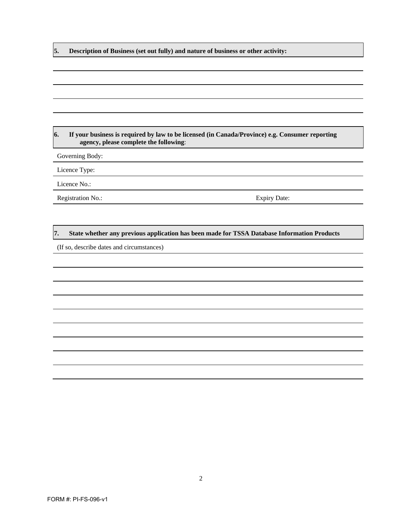**5. Description of Business (set out fully) and nature of business or other activity:**

#### **6. If your business is required by law to be licensed (in Canada/Province) e.g. Consumer reporting agency, please complete the following**:

Governing Body:

Licence Type:

Licence No.:

Registration No.: Expiry Date:

#### **7. State whether any previous application has been made for TSSA Database Information Products**

(If so, describe dates and circumstances)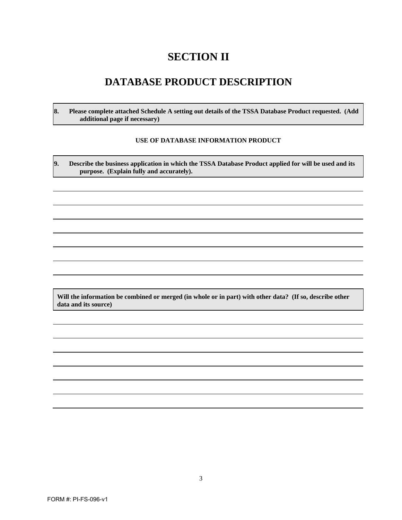# **SECTION II**

### **DATABASE PRODUCT DESCRIPTION**

**8. Please complete attached Schedule A setting out details of the TSSA Database Product requested. (Add additional page if necessary)** 

#### **USE OF DATABASE INFORMATION PRODUCT**

**9. Describe the business application in which the TSSA Database Product applied for will be used and its purpose. (Explain fully and accurately).** 

**Will the information be combined or merged (in whole or in part) with other data? (If so, describe other data and its source)**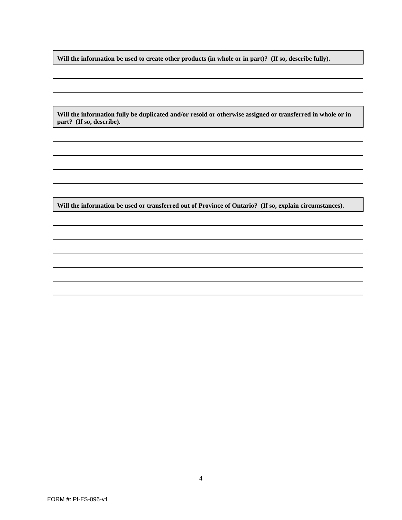**Will the information be used to create other products (in whole or in part)? (If so, describe fully).** 

**Will the information fully be duplicated and/or resold or otherwise assigned or transferred in whole or in part? (If so, describe).** 

**Will the information be used or transferred out of Province of Ontario? (If so, explain circumstances).**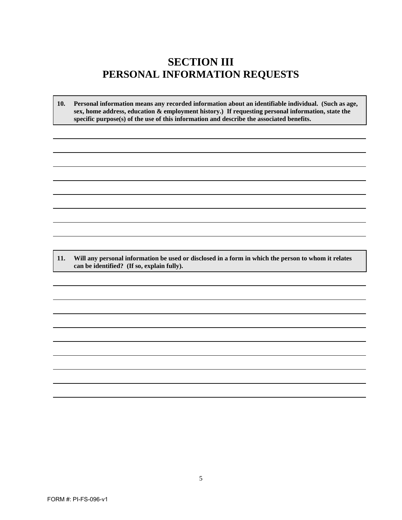### **SECTION III PERSONAL INFORMATION REQUESTS**

**10. Personal information means any recorded information about an identifiable individual. (Such as age, sex, home address, education & employment history.) If requesting personal information, state the specific purpose(s) of the use of this information and describe the associated benefits.**

**11. Will any personal information be used or disclosed in a form in which the person to whom it relates can be identified? (If so, explain fully).**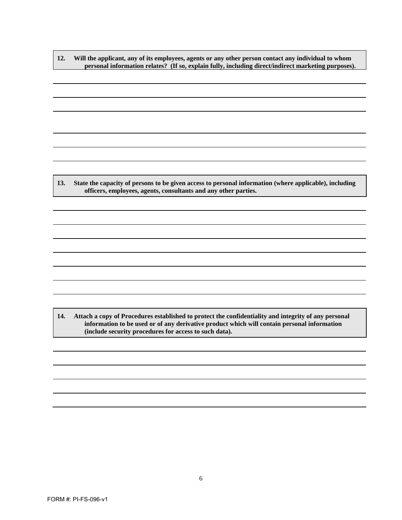**12. Will the applicant, any of its employees, agents or any other person contact any individual to whom personal information relates? (If so, explain fully, including direct/indirect marketing purposes).** 

**13. State the capacity of persons to be given access to personal information (where applicable), including officers, employees, agents, consultants and any other parties.** 

**14. Attach a copy of Procedures established to protect the confidentiality and integrity of any personal information to be used or of any derivative product which will contain personal information (include security procedures for access to such data).**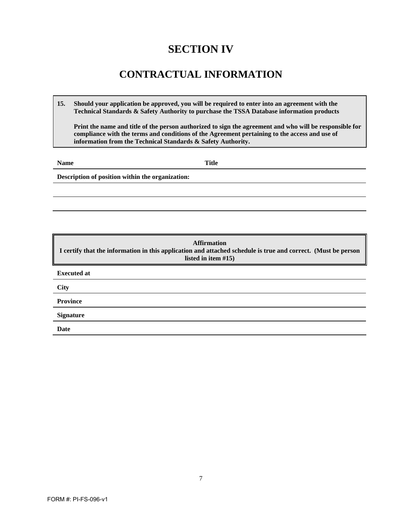# **SECTION IV**

# **CONTRACTUAL INFORMATION**

**15. Should your application be approved, you will be required to enter into an agreement with the Technical Standards & Safety Authority to purchase the TSSA Database information products**

**Print the name and title of the person authorized to sign the agreement and who will be responsible for compliance with the terms and conditions of the Agreement pertaining to the access and use of information from the Technical Standards & Safety Authority.**

**Name** Title

**Description of position within the organization:** 

**Affirmation I certify that the information in this application and attached schedule is true and correct. (Must be person listed in item #15) Executed at City Province Signature Date**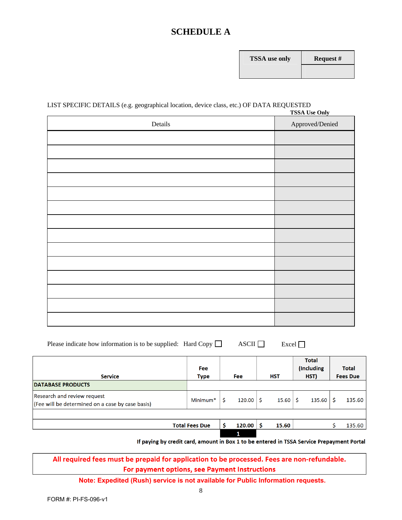### **SCHEDULE A**

| <b>FSSA</b> use only | R٥ |
|----------------------|----|
|                      |    |

#### LIST SPECIFIC DETAILS (e.g. geographical location, device class, etc.) OF DATA REQUESTED **TSSA Use Only**

| Details | <b>155A Use Omy</b><br>Approved/Denied |
|---------|----------------------------------------|
|         |                                        |
|         |                                        |
|         |                                        |
|         |                                        |
|         |                                        |
|         |                                        |
|         |                                        |
|         |                                        |
|         |                                        |
|         |                                        |
|         |                                        |
|         |                                        |
|         |                                        |
|         |                                        |

| Please indicate how information is to be supplied: Hard Copy $\Box$ |  | $\triangle$ SCII $\Box$ Excel $\Box$ |  |
|---------------------------------------------------------------------|--|--------------------------------------|--|
|---------------------------------------------------------------------|--|--------------------------------------|--|

| <b>Service</b>                                                                  | <b>Fee</b><br><b>Type</b> | <b>Fee</b> | <b>HST</b> | <b>Total</b><br>(Including<br>HST) | <b>Total</b><br><b>Fees Due</b> |
|---------------------------------------------------------------------------------|---------------------------|------------|------------|------------------------------------|---------------------------------|
| <b>DATABASE PRODUCTS</b>                                                        |                           |            |            |                                    |                                 |
| Research and review request<br>(Fee will be determined on a case by case basis) | Minimum <sup>*</sup>      | 120.00     | 15.60      | 135.60                             | 135.60                          |
|                                                                                 |                           |            |            |                                    |                                 |
|                                                                                 | <b>Total Fees Due</b>     | 120.00     | 15.60      |                                    | 135.60                          |
|                                                                                 |                           | 1          |            |                                    |                                 |

If paying by credit card, amount in Box 1 to be entered in TSSA Service Prepayment Portal

#### All required fees must be prepaid for application to be processed. Fees are non-refundable. For payment options, see Payment Instructions

**Note: Expedited (Rush) service is not available for Public Information requests.**